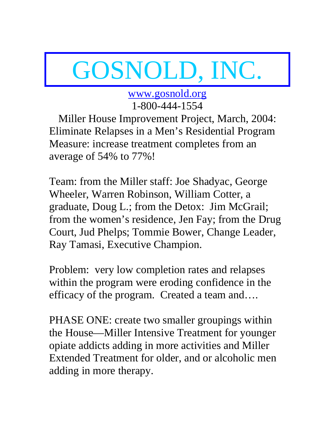# GOSNOLD, INC.

www.gosnold.org 1-800-444-1554

Miller House Improvement Project, March, 2004: Eliminate Relapses in a Men's Residential Program Measure: increase treatment completes from an average of 54% to 77%!

Team: from the Miller staff: Joe Shadyac, George Wheeler, Warren Robinson, William Cotter, a graduate, Doug L.; from the Detox: Jim McGrail; from the women's residence, Jen Fay; from the Drug Court, Jud Phelps; Tommie Bower, Change Leader, Ray Tamasi, Executive Champion.

Problem: very low completion rates and relapses within the program were eroding confidence in the efficacy of the program. Created a team and….

PHASE ONE: create two smaller groupings within the House—Miller Intensive Treatment for younger opiate addicts adding in more activities and Miller Extended Treatment for older, and or alcoholic men adding in more therapy.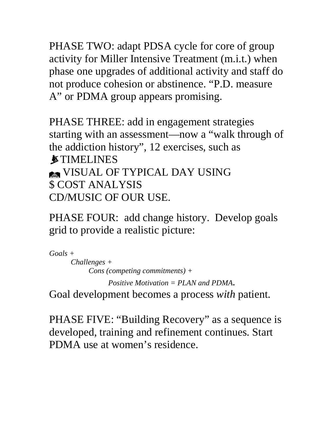PHASE TWO: adapt PDSA cycle for core of group activity for Miller Intensive Treatment (m.i.t.) when phase one upgrades of additional activity and staff do not produce cohesion or abstinence. "P.D. measure A" or PDMA group appears promising.

PHASE THREE: add in engagement strategies starting with an assessment—now a "walk through of the addiction history", 12 exercises, such as *STIMELINES* **SEXUAL OF TYPICAL DAY USING** \$ COST ANALYSIS CD/MUSIC OF OUR USE.

PHASE FOUR: add change history. Develop goals grid to provide a realistic picture:

*Goals + Challenges + Cons (competing commitments) + Positive Motivation = PLAN and PDMA*.

Goal development becomes a process *with* patient.

PHASE FIVE: "Building Recovery" as a sequence is developed, training and refinement continues. Start PDMA use at women's residence.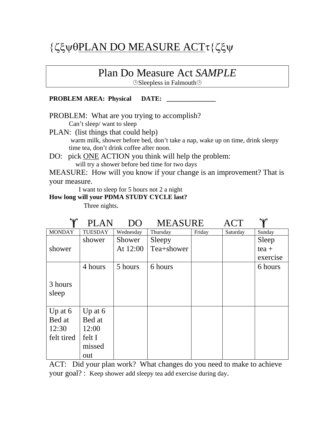## {ζξψθPLAN DO MEASURE ACTτ{ζξψ

## Plan Do Measure Act *SAMPLE*

Sleepless in Falmouth

### **PROBLEM AREA: Physical DATE:**

PROBLEM: What are you trying to accomplish?

Can't sleep/ want to sleep

PLAN: (list things that could help) warm milk, shower before bed, don't take a nap, wake up on time, drink sleepy time tea, don't drink coffee after noon.

DO: pick ONE ACTION you think will help the problem: will try a shower before bed time for two days

MEASURE: How will you know if your change is an improvement? That is your measure.

I want to sleep for 5 hours not 2 a night

**How long will your PDMA STUDY CYCLE last?** 

Three nights.

| "Y"           | <b>PLAN</b>    | DO        | <b>MEASURE</b> |        | ACT      | $\mathbf{v}$ |
|---------------|----------------|-----------|----------------|--------|----------|--------------|
| <b>MONDAY</b> | <b>TUESDAY</b> | Wednesday | Thursday       | Friday | Saturday | Sunday       |
|               | shower         | Shower    | Sleepy         |        |          | Sleep        |
| shower        |                | At 12:00  | Tea+shower     |        |          | $tea +$      |
|               |                |           |                |        |          | exercise     |
|               | 4 hours        | 5 hours   | 6 hours        |        |          | 6 hours      |
|               |                |           |                |        |          |              |
| 3 hours       |                |           |                |        |          |              |
| sleep         |                |           |                |        |          |              |
|               |                |           |                |        |          |              |
| Up at $6$     | Up at $6$      |           |                |        |          |              |
| Bed at        | Bed at         |           |                |        |          |              |
| 12:30         | 12:00          |           |                |        |          |              |
| felt tired    | felt I         |           |                |        |          |              |
|               | missed         |           |                |        |          |              |
|               | out            |           |                |        |          |              |

ACT: Did your plan work? What changes do you need to make to achieve your goal? : Keep shower add sleepy tea add exercise during day.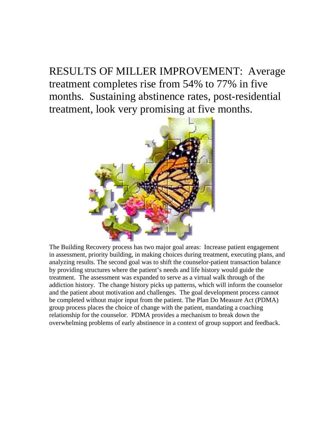RESULTS OF MILLER IMPROVEMENT: Average treatment completes rise from 54% to 77% in five months. Sustaining abstinence rates, post-residential treatment, look very promising at five months.



The Building Recovery process has two major goal areas: Increase patient engagement in assessment, priority building, in making choices during treatment, executing plans, and analyzing results. The second goal was to shift the counselor-patient transaction balance by providing structures where the patient's needs and life history would guide the treatment. The assessment was expanded to serve as a virtual walk through of the addiction history. The change history picks up patterns, which will inform the counselor and the patient about motivation and challenges. The goal development process cannot be completed without major input from the patient. The Plan Do Measure Act (PDMA) group process places the choice of change with the patient, mandating a coaching relationship for the counselor. PDMA provides a mechanism to break down the overwhelming problems of early abstinence in a context of group support and feedback.